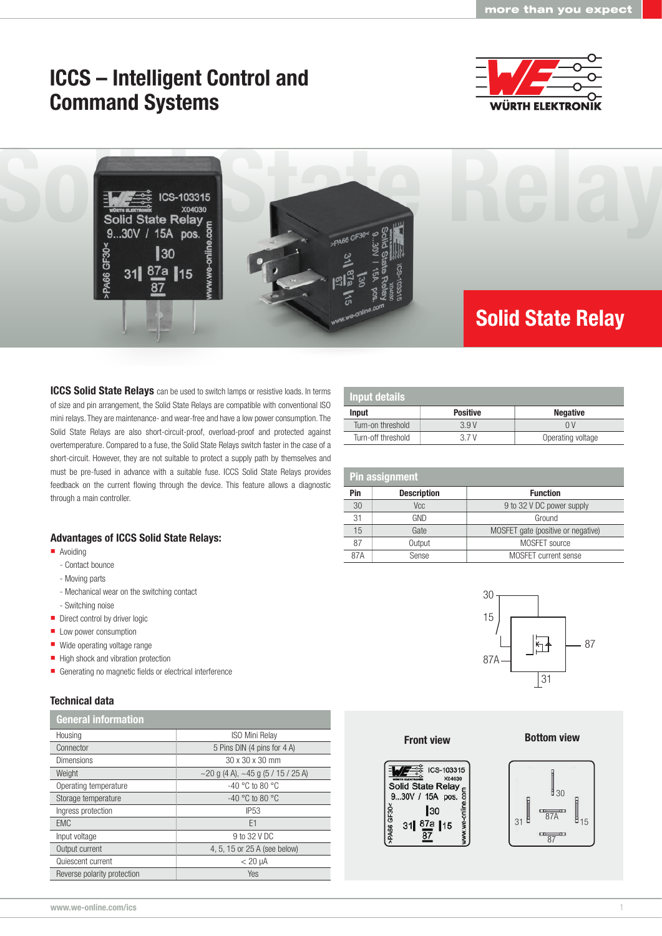# ICCS – Intelligent Control and Command Systems





**ICCS Solid State Relays** can be used to switch lamps or resistive loads. In terms of size and pin arrangement, the Solid State Relays are compatible with conventional ISO mini relays. They are maintenance- and wear-free and have a low power consumption. The Solid State Relays are also short-circuit-proof, overload-proof and protected against overtemperature. Compared to a fuse, the Solid State Relays switch faster in the case of a short-circuit. However, they are not suitable to protect a supply path by themselves and must be pre-fused in advance with a suitable fuse. ICCS Solid State Relays provides feedback on the current flowing through the device. This feature allows a diagnostic through a main controller.

### Advantages of ICCS Solid State Relays:

- **Avoiding** 
	- Contact bounce
	- Moving parts
	- Mechanical wear on the switching contact
	- Switching noise
- Direct control by driver logic
- **Low power consumption**
- Wide operating voltage range
- High shock and vibration protection
- Generating no magnetic fields or electrical interference

# Technical data

| <b>General information</b>  |                                                |  |
|-----------------------------|------------------------------------------------|--|
| Housing                     | <b>ISO Mini Relay</b>                          |  |
| Connector                   | 5 Pins DIN (4 pins for 4 A)                    |  |
| <b>Dimensions</b>           | 30 x 30 x 30 mm                                |  |
| Weight                      | $\sim$ 20 g (4 A), $\sim$ 45 g (5 / 15 / 25 A) |  |
| Operating temperature       | $-40$ °C to 80 °C                              |  |
| Storage temperature         | $-40$ °C to 80 °C                              |  |
| Ingress protection          | <b>IP53</b>                                    |  |
| <b>EMC</b>                  | E <sub>1</sub>                                 |  |
| Input voltage               | 9 to 32 V DC                                   |  |
| Output current              | 4, 5, 15 or 25 A (see below)                   |  |
| Quiescent current           | $< 20 \mu A$                                   |  |
| Reverse polarity protection | Yes                                            |  |

| <b>Input details</b> |                 |                   |  |
|----------------------|-----------------|-------------------|--|
| Input                | <b>Positive</b> | <b>Negative</b>   |  |
| Turn-on threshold    | 3.9V            | 0 V               |  |
| Turn-off threshold   | 37V             | Operating voltage |  |

| <b>Pin assignment</b> |                    |                                    |  |  |
|-----------------------|--------------------|------------------------------------|--|--|
| Pin                   | <b>Description</b> | <b>Function</b>                    |  |  |
| 30                    | Vcc                | 9 to 32 V DC power supply          |  |  |
| 31                    | GND                | Ground                             |  |  |
| 15                    | Gate               | MOSFET gate (positive or negative) |  |  |
| 87                    | Output             | MOSFET source                      |  |  |
| 87A                   | Sense              | <b>MOSFET</b> current sense        |  |  |



#### **Front view**

#### **Bottom view**